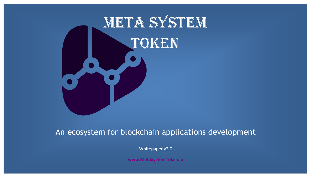

# An ecosystem for blockchain applications development

Whitepaper v2.0

**[www.MetaSystemToken.io](http://www.metasystemtoken.io/)**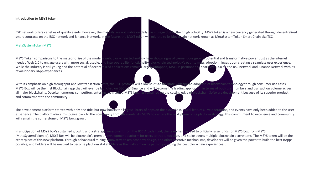#### **Introduction to MSYS token**

BSC network offers varieties of quality assets; however, the majority are not viable on daily basis usage due to their high volatility. MSYS token is a new currency generated through decentralized smart contracts on the BSC network and Binance Network. In the future, the MSYS token will migrate to its blockchain network known as MetaSystemToken Smart Chain aka TSC.

#### MetaSystemToken MSYS

revolutionary BApp experiences. .

and commitment to the community. .

will remain the cornerstone of MSYS box'sgrowth.

In anticipation of MSYS box's sustained growth, and a strategic investment from the BSC Arcade fund, the team has decided to officially raise funds for MSYS box from MSYS possible, and holders will be enabled to become platform stakeholders as the platform on its path of providing the best blockchain experiences...

MSYS Token comparisons to the meteoric rise of the modern web, blockchain technology have shown signs of tremendous growth potential and transformative power. Just as the internet needed Web 2.0 to engage users with more social, usable, and interoperability functionality, blockchain technology's path to mass adoption hinges upon creating a seamless user experience. While the industry is still young and the potential of decentralized applications remains largely untapped, MSYS is positioned to spark Web 3.0 on the BSC network and Binance Network with its

With its emphasis on high throughput and low transaction costs, the BSC protocol will allow MSYS to fasilitate widespread adoption of blockchain technology through consumer use cases. MSYS Box will be the first Blockchain app that will ever be launched on BSC and Binance and will become the leading application in terms of both user numbers and transaction volume across all major blockchains. Despite numerous competitors entering the market, MSYS box has remained on the cutting edge of blockchain Software development because of its superior product

The development platform started with only one title, but now boasts the largest library of apps on the blockchain. Social features, live operations, and events have only been added to the user experience. The platform also aims to give back to the community through events. As MSYS box enters the next phase of its platform strategy, this commitment to excellence and community

(MetaSystemToken.io). MSYS Box will be blockchain's premier development platform for users to trade, socialize, and stake across multiple blockchain ecosystems. The MSYS token will be the centerpiece of this new platform. Through behavioural mining, innovative token economy design, and other incentive mechanisms, developers will be given the power to build the best BApps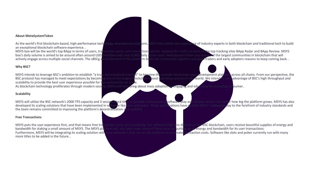## **About MetaSystemToken**

As the world's first blockchain-based, high-performance technology development platform, MSYS box utilizes the experience of industry experts in both blockchain and traditional tech to build an exceptional blockchain software experience. .<br>MSYS box will be the world's top BApp in terms of users, tra

MSYS box will be the world's top BApp in terms of users, transaction count, and transaction volume, topping the charts on both of the top tracking sites BApp Radar and BApp Review. MSYS box's daily volume is aimed to be ar box's daily volume is aimed to be around often around USD 14million with over 6,000 daily active users. MetaSystemToken also boasts of the largest communities in blockchain that will actively engage across multiple social ial element of this platfo<mark>rm bi</mark>nds the community together and gives traders and early adopters reasons to keep coming back. .

# **Why BSC?**

MSYS intends to leverage BSC's ambition to establish "a truly decentralized Internet" to become the premier blockchain apps development platform across all chains. From our perspective, the BSC protocol has managed to meet BSC protocol has managed to meet expectations by becoming one of the largest blockchain-based operating systems in the world. We intend scalability to provide the best user experience possible for the community we see<br>As blockchain technology proliferates through modern society, MSYS will help or

# **Scalability**

the team remains committed to improving the platform's decentralization and usability. .

# **Free Transactions**

Furthermore, MSYS will be integrating its scaling solution with new software s that run on the platform to eli more titles to be added in the future. .

MSYS will help bring about mass adoption by engaging and educating the everyday consumer.

MSYS will utilize the BSC network's 2000 TPS capacity and 3 second block time to provide instantaneous software play and reliable service no matter how big the platform grows. MSYS has also developed its scaling solutions that have been implemented in software like slots and poker. These optimizations have rushed MSYS 's software play to the forefront of industry standards and

MSYS puts the user experience first, and that means free transaction costs are a necessity. For software that runs directly on the BSC blockchain, users receive bountiful supplies of energy and bandwidth for staking a smal brm will also help cover some of these costs by <mark>putti</mark>ng up its energy and bandwidth for its user transactions.<br>Iew software s that run on the platform to eliminate transaction costs. Software like slots and poker current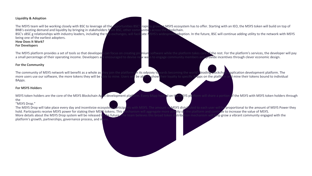## **Liquidity & Adoption**

The MSYS team will be working closely with BSC to leverage all the opportunities BSC's rapidly growing MSYS ecosystem has to offer. Starting with an IEO, the MSYS token will build on top of BNB's existing demand and liquidity by bringing in stakeholders from BSC, other communities across the blockchain.<br>BSC's sBSC g relationships with industry leaders, including the top exchanges, will facilitate MSYS's wides being one of the earliest adopters. **How Does It Work?**

#### **For Developers**

The MSYS platform provides a set of tools so that developers can focus on creating premium software while the platform takes care of the rest. For the platform's services, the developer will pay a small percentage of their a small percentage of their operating income. Developers are encouraged to devise new way

BYS's widespread adoption. In the future, BSC will continue adding utility to the network with MSYS

## **For the Community**

The community of MSYS network will benefit as a whole as they join the platform on its odyssey towards becoming the world's leading blockchain application development platform. The more users use our software, the more tok more users use our software, the more tokens they will be able to mine. Users will be able to show BApps.

### **For MSYS Holders**

MSYS token holders are the core of the MSYS Blockchain Apps development platform. Every BApp hosted on the MSYS platform will share a portion of the MSYS with MSYS token holders through the

# "MSYS Drop."

The MSYS Drop will take place every day and incentivize ecosystem participants with MSYS. The amount of MSYS distributed to each user will be proportional to the amount of MSYS Power they hold. Participants receive MSYS power for staking their MSYS tokens. This mechanism will aggregate more activity on the platform and continue to increase the value of MSYS.<br>More details about the MSYS Drop system will be r More details about the MSYS Drop system will be released in the future. The team believes this broad token distribution mechanism will help grow a vibrant community engaged with the platform's growth, partnerships, governance process, and m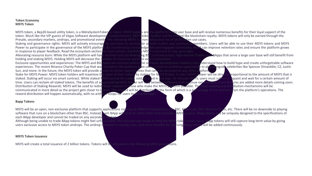## **Token Economy MSYS Token**

Presale, secondary markets, airdrops, and promotional events. The following MSYS is a non-<br>Staking and governance rights: MSYS will actively encourage its user base to participate as in response to player feedback. Read the ecosystem section for more details, and follow MSYS's channels to stay up to date.<br>Alleviating resource burn: While the MSYS platform will have minimal costs by leveraging BSC's inf holding and staking MSYS. Holding MSYS will decrease the number of resources spent on every character on every transmustrian in the square opportunities and experiences: The MSYS and BSQ team are veterans within the square experiences. The recent Binance Charity Poker Cup that was hosted on the platform gave users a once-in-a-lifetime opportunity to play alongside celebrities like Spencer Dinwiddie, CZ, Justin<br>Sun, and more. In the future, t Sun, and more. In the future, the MSYS token will provide access to similar opportunities that can't be accessed on any other platform.<br>Stake for MSYS Power: MSYS token holders will maximize the value of their tokens by st Stake for MSYS Power: MSYS token holders will maximize the value of their tokens by staking for MSYS Power. A user's MSYS Power will be directly proportional to the amount of MSYS that is staked. Staking will occur via sma staked. Staking will occur via smart contract. While staked MSYS cannot be traded, sold, or used in any way. To relocate MSYS, users must sub time. Users can reclaim all staked tokens. The benefits of accumulating MSYS Power will vary between software and continue expanding as more features are added more details coming soon.<br>Distribution of Staking Rewards: MSY communicated in more detail as the project gets closer to launch. The rew reward distribution will happen automatically, with no artificial hoops for users to jump through.

# **Bapp Tokens**

each BApp developer and cannot be traded on any secondary users exclusive access to MSYS token airdrops. The airdrop schedule is coming soon, and more benefits for added continuously.

#### **MSYS Token Issuance**

MSYS will create a total issuance of 2 billion tokens. Tokens will be allocated in the following MSYS proportions.

MSYS token, a Bep20-based utility token, is a MetaSystemToken.io token. MSYS holders are the platform's core user base and will receive numerous benefits for their loyal support of the teated through the token. Much like t establishments, MSYS token holders will be treated like blockchain royalty. MSYS tokens will only be earned through the<br>he following MSYS is a non-exhaustive list of MSYS token use cases.

Staking and governance rights: MSYS will actively encourage its user base to participate as both traders and community members. Users will be able to use their MSYS tokens and MSYS<br>Power to participate in the governance of By incentivizing a knowledgeable and engaged community, MSYS can improve retention rates and ensure the platform grows

minimal costs by leveraging BSC's infrastructure, high-volume Traders and BApps that serve a large user base will still benefit from

am are veterans within the software development industry and understand how to build hype and create unforgettable software

ute rewards to those who make the MSYS platform possible. The exact staking and distr<mark>ibution mechanisms will be</mark><br>ich. The reward will be ekstributed in the form of which is a percentage of the revenue from the platform's

MSYS will be an open, non-exclusive platform that supports applications running on different blockchains like BSC, Ethereum, EOS, Binance Chain, etc. There will be no downside to playing<br>software that runs on a blockchain software that runs on a blockchain other than BSC. Instead, each BApp will have its utility token that provides eMSYSa value. BApp tokens w

Although being unable to trade BApp tokens might feel unfavourable, this decision was made to help the MSYS token retain value. BApp tokens will still capture long-term value by giving users exclusive access to MSYS token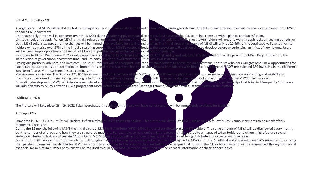## **Initial Community - 7%**

for each BNB they freeze.<br>Understandably, there will be concerns over the MSYS token's

Understandably, there will be concerns over the MSYS token's greater supply compared to others. Rest assured, the BSC team has come up with a plan to combat inflation.<br>Limited circulating supply: When MSYS is initially rel will be given ample opportunity to buy or sell MSYS and put themselves in the best financial position possible.<br>Incentives to HODL: We foresee MSYS's value appreciating as the utility continues being added. At first, utili introduction of governance, ecosystem fund, and 3rd party developers will carry the MSYS token's value accrual<br>Prestigious partners, advisors, and investors: The MSYS rebrand will be an opportunity for new stakeholders to long-term future. More partnerships are coming soon!<br>Massive user acquisition: The Binance IEO, BSC investment,

Expanding development: MSYS will introduce new developer tools, easier onboarding development: MSYS will introduce new developer tools, easier onboard will add diversity to MSYS's offerings. We project that more software l

#### **Public Sale - 47%**

The Pre-sale will take place Q3 - Q4 2022 Token purchased through this initial sale will have no lockup and will be immediately available for trading.

#### **Airdrop - 12%**

Sometime in Q2 - Q3 2021, MSYS will initiate its first airdrop of MSYS tokens to holders. This airdrop will distribute MSYS, make sure to follow MSYS 's announcements to be a part of this momentous occasion.<br>During the 12 months following MSYS the initial airdrop, MSY

airdrops exclusive to holders of certain BApp tokens. MSYS token airdrops will last for over 3 years, with the amount being distributed to increase year over year.<br>Our airdrops will have no hoops for users to jump through Our airdrops will have no hoops for users to jump through - if you are holding the specified token, you will l<br>the specified tokens will be eligible for MSYS airdrops. corresponding to the amount they are holding. Exchannels. No minimum number of tokens will be required to qualify for MSYS airdrops. stay tuned to receive more information on these opportunities.

A large portion of MSYS will be distributed to the loyal holders that participate in the funding box. When a user goes through the token swap process, they will receive a certain amount of MSYS

vill be in circulation. While most token holders will need to wait through lockups, vesting periods, or both, MSYS tokens swapped from exchanges will be immediately available for staking and trading. The initial circulating supply of MSYS will only be 20.99% of the total supply. Tokens given to holders will comprise over 57% Given MSYS's vesting schedule, the ecosystem will be given time to develop before experiencing an influx of new tokens: Users

the utility continues bein<mark>g add</mark>ed. At first, utility and value will largely come from airdrops and the MSYS Drop. Further on, the<br>evelopers will carry the MSYS token's value accrual.

y for new stakeholders to come into an ecosystem. These stakeholders will give MSYS new opportunities for partnerships, user acquisition, technological integrations, and more. Users will feel the positive impact immediately with Binance facilitating the MSYS pre-sale and BSC investing in the platform's

nd other aspects of th<mark>e MSYS-rebrand</mark> will give the platform the **resources necessary to improve onboarding and usability to**<br>s of millions of users. More users will increase the daily rewards pool and ultimately help the maximize conversions from marketing campaigns to hundreds of millions of users. More users will increase the daily rewards pool and ultimately help the MSYS token succeed.<br>Expanding development: MSYS will introduce new dev software lead to greater user engagement, which benefits all stake

During the 12 months following MSYS the initial airdrop, MSYS will distribute MSYS (24% of the airdrop allocation) to MSYS holders. The same amount of MSYS will be distributed every month, but the number of airdrops and ho ary. For example, some months might feature a <mark>single airdrop to all types of token Holders and others might feature several</mark><br>In airdrops will last for over 3 years, with the ar**nount being distributed to increase year ove** 

ding to the amount they are holding. Exchanges that support the MSYS token airdrop will be announced through our social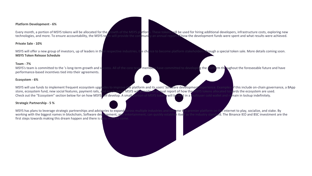### **Platform Development - 6%**

Every month, a portion of MSYS tokens will be allocated for the growth of the MSYS platform. These tokens will be used for hiring additional developers, infrastructure costs, exploring new<br>technologies, and more. To ensure  $t$  an annual report of how the development funds were spent and what results were achieved.

#### **Private Sale - 10%**

MSYS will offer a new group of investors, up of leaders in their respective industries, the chance to become platform stakeholders through a special token sale. More details coming soon. **MSYS Token Release Schedule**

#### **Team - 7%**

MSYS's team is committed to the 's long-term growth and success. All of the core team members have committed to developing the platform throughout the foreseeable future and have performance-based incentives tied into their agreements.

## **Ecosystem - 6%**

### **Strategic Partnership - 5 %**

first steps towards making this dream happen and there is only more to come.

MSYS will use funds to implement frequent ecosystem upgrades to improve the platform and its users' Software development experience. Examples of this include on-chain governance, a BApp store, ecosystem fund, new social fe store, ecosystem fund, new social features, payment rails, and much more. MSYS will provide an annual report of how the MSYS tokens allocated tow Check out the "Ecosystem" section below for on how MSYS will develop. A small portion of MSYS tokens will be held in a multiuser cold wallet and remain in lockup indefinitely.

MSYS has plans to leverage strategic partnerships and advisories to expand across multiple industries and become the premier platform on the internet to play, socialize, and stake. By working with the biggest names in bloc **Nopment, and entertainment, can quickly establish itself as the industry standard. The Binance IEO and BSC investment are the**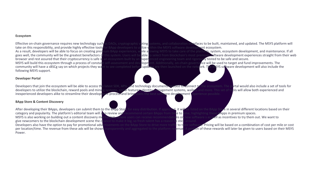#### **Ecosystem**

take on this responsibility, and provide highly effective tools for BApp developers to utilize within the MSYS software development ecosystem. browser and rest assured that their cryptocurrency is safe in an ecosystem built by an experienced engineering team and rigorously tested to be safe and secure.<br>MSYS will build this ecosystem through a process of constant following MSYS support.

#### **Developer Portal**

# **BApp Store & Content Discovery**

After developing their BApps, developers can submit them to the BApp Store for easy distribution. If approved, it will be listed on the BApp Store in several different locations based on their category and popularity. The platform's editorial team will also review and recommend certain BApps from time to time, highlighting these BApps in premium spaces.<br>MSYS is also working on building out a content discovery me give newcomers to the blockchain development scene the chance to make it big, so fresh talent has a reason to stick around Power.

Effective on-chain governance requires new technology such as DAOs, cryptographic voting systems, and collaboration interfaces to be built, maintained, and updated. The MSYS platform will

As a result, developers will be able to focus on creating premium BApp experiences, while a lowing MSYS to take care of the platform, system, ecosystem development, and maintenance. If all goes well, the community will be goes well, the community will be the greatest benefactors of this system. Users will be able to select from blockchain's most premium software development experiences straight from their web<br>browser and rest assured that t

slopment. Additionally, on-chain governance will be used to target and fund improvements. The<br>I updates are then launched on the network. The MSYS software development will also include t community will have a sBSCg say on which projects they want to see completed before updates are then launched on the network. The MSYS software development will also include the

Developers that join the ecosystem will be able to access the latest SDK, APIs, and technology documents needed to connect to the ecosystem. The portal would also include a set of tools for<br>developers to utilize the blockc develops social features, identity management systems, wallets and more. This set of tools and more. This set o inexperienced developers alike to streamline their development process and bring users the best software development experience possible

ins on new software s as well as incentives to try them out. We want to

Developers also have the option to pay for promotional advertisements on the BApp Store to drive more traffic to their software. Pricing will be based on a combination of cost per mile or cost per mile or cost per mile or ransparently and aggregated to the platform revenue. A portion of these rewards will later be given to users based on their MSYS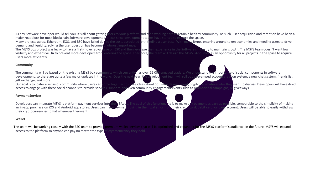major roadblock for most blockchain Software development projects since development teams have projects across Ethereum, EOS, and BSC have failed due to the costs associated with fire demand and liquidity, solving the user question has become of utmost importance.<br>The MSYS box project was lucky to have a first-mover advantage on BSC and then le users more efficiently.

As any Software developer would tell you, it's all about getting users to your platform and then working hard to retain a healthy community. As such, user acquisition and retention have been a major roadblock for most bloc

ding a user base. With many BApps entering around token economies and needing users to drive

The MSYS box project was lucky to have a first-mover advantage on BSC and then leverage their experience in the Software s industry to maintain growth. The MSYS team doesn't want low<br>visibility and expensive UA to prevent entering the space. Therefore, the team will design the MSYS BApp store as an opportunity for all projects in the space to acquire

# **Community**

The community will be based on the existing MSYS box community which currently has over 16,000 engaged traders. We understand the importance of social components in software development, so there are quite a few major upda development, so there are quite a few major updates in the works. Over the next year, the development team will roll out a revamped account creation system. gift exchange, and more.

Our goal is to foster a sense of community where users can come together to share ideas about Software development, crypto, or whatever else they want to discuss. Developers will have direct access to engage with these soc es, support, and even community engagement events such as promotional campaigns, or giveaways.

# **Payment Services**

Developers can integrate MSYS 's platform payment services into their BApps. The goal of this functionality is to make any payment as easy as possible, comparable to the simplicity of making<br>an in-app purchase on iOS and A an in-app purchase on iOS and Android app stores. Users can make payments using in their wallet, or from their credit card, debit card, or bank and to be able to easily with an users with an users with an individual be abl their cryptocurrencies to fiat whenever theywant.

# **Wallet**

The team will be working closely with the BSC team to provide premium wallet services that will be optimized and expanded for the MSYS platform's audience. In the future, MSYS will expand access to the platform so anyone can pay no matter the type of cryptocurrency they hold.